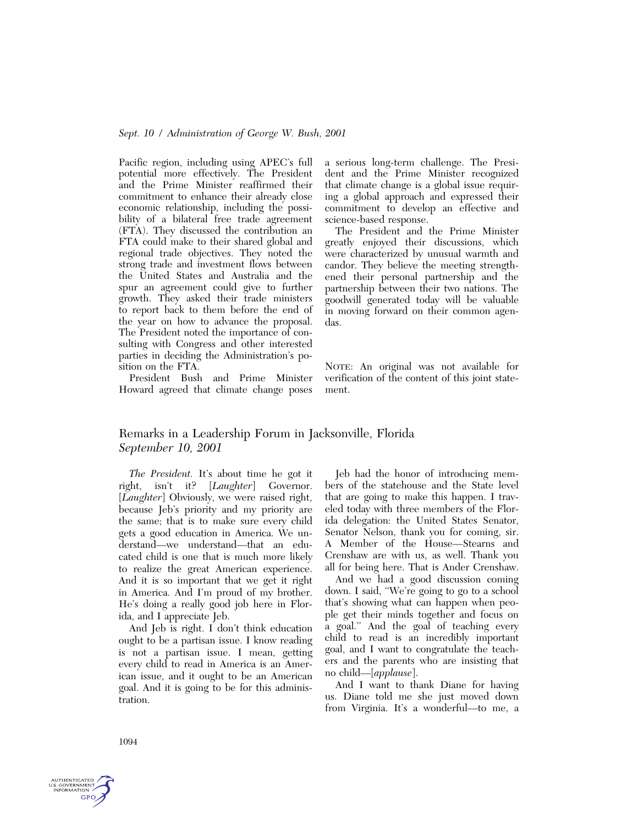Pacific region, including using APEC's full potential more effectively. The President and the Prime Minister reaffirmed their commitment to enhance their already close economic relationship, including the possibility of a bilateral free trade agreement (FTA). They discussed the contribution an FTA could make to their shared global and regional trade objectives. They noted the strong trade and investment flows between the United States and Australia and the spur an agreement could give to further growth. They asked their trade ministers to report back to them before the end of the year on how to advance the proposal. The President noted the importance of consulting with Congress and other interested parties in deciding the Administration's position on the FTA.

President Bush and Prime Minister Howard agreed that climate change poses a serious long-term challenge. The President and the Prime Minister recognized that climate change is a global issue requiring a global approach and expressed their commitment to develop an effective and science-based response.

The President and the Prime Minister greatly enjoyed their discussions, which were characterized by unusual warmth and candor. They believe the meeting strengthened their personal partnership and the partnership between their two nations. The goodwill generated today will be valuable in moving forward on their common agendas.

NOTE: An original was not available for verification of the content of this joint statement.

# Remarks in a Leadership Forum in Jacksonville, Florida *September 10, 2001*

*The President.* It's about time he got it right, isn't it? [*Laughter*] Governor. [*Laughter*] Obviously, we were raised right, because Jeb's priority and my priority are the same; that is to make sure every child gets a good education in America. We understand—we understand—that an educated child is one that is much more likely to realize the great American experience. And it is so important that we get it right in America. And I'm proud of my brother. He's doing a really good job here in Florida, and I appreciate Jeb.

And Jeb is right. I don't think education ought to be a partisan issue. I know reading is not a partisan issue. I mean, getting every child to read in America is an American issue, and it ought to be an American goal. And it is going to be for this administration.

Jeb had the honor of introducing members of the statehouse and the State level that are going to make this happen. I traveled today with three members of the Florida delegation: the United States Senator, Senator Nelson, thank you for coming, sir. A Member of the House—Stearns and Crenshaw are with us, as well. Thank you all for being here. That is Ander Crenshaw.

And we had a good discussion coming down. I said, ''We're going to go to a school that's showing what can happen when people get their minds together and focus on a goal.'' And the goal of teaching every child to read is an incredibly important goal, and I want to congratulate the teachers and the parents who are insisting that no child—[*applause*].

And I want to thank Diane for having us. Diane told me she just moved down from Virginia. It's a wonderful—to me, a

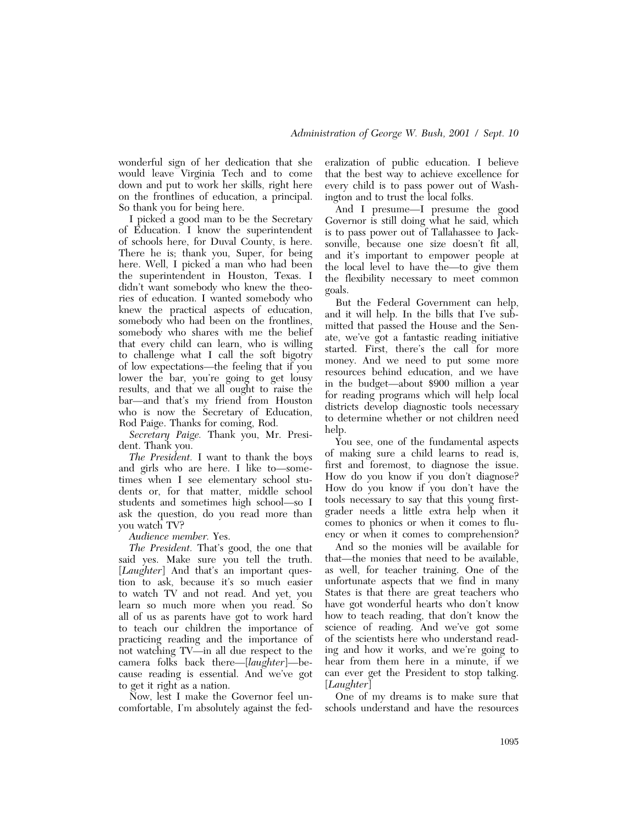wonderful sign of her dedication that she would leave Virginia Tech and to come down and put to work her skills, right here on the frontlines of education, a principal. So thank you for being here.

I picked a good man to be the Secretary of Education. I know the superintendent of schools here, for Duval County, is here. There he is; thank you, Super, for being here. Well, I picked a man who had been the superintendent in Houston, Texas. I didn't want somebody who knew the theories of education. I wanted somebody who knew the practical aspects of education, somebody who had been on the frontlines, somebody who shares with me the belief that every child can learn, who is willing to challenge what I call the soft bigotry of low expectations—the feeling that if you lower the bar, you're going to get lousy results, and that we all ought to raise the bar—and that's my friend from Houston who is now the Secretary of Education, Rod Paige. Thanks for coming, Rod.

*Secretary Paige.* Thank you, Mr. President. Thank you.

*The President.* I want to thank the boys and girls who are here. I like to—sometimes when I see elementary school students or, for that matter, middle school students and sometimes high school—so I ask the question, do you read more than you watch TV?

*Audience member.* Yes.

*The President.* That's good, the one that said yes. Make sure you tell the truth. [*Laughter*] And that's an important question to ask, because it's so much easier to watch TV and not read. And yet, you learn so much more when you read. So all of us as parents have got to work hard to teach our children the importance of practicing reading and the importance of not watching TV—in all due respect to the camera folks back there—[*laughter*]—because reading is essential. And we've got to get it right as a nation.

Now, lest I make the Governor feel uncomfortable, I'm absolutely against the federalization of public education. I believe that the best way to achieve excellence for every child is to pass power out of Washington and to trust the local folks.

And I presume—I presume the good Governor is still doing what he said, which is to pass power out of Tallahassee to Jacksonville, because one size doesn't fit all, and it's important to empower people at the local level to have the—to give them the flexibility necessary to meet common goals.

But the Federal Government can help, and it will help. In the bills that I've submitted that passed the House and the Senate, we've got a fantastic reading initiative started. First, there's the call for more money. And we need to put some more resources behind education, and we have in the budget—about \$900 million a year for reading programs which will help local districts develop diagnostic tools necessary to determine whether or not children need help.

You see, one of the fundamental aspects of making sure a child learns to read is, first and foremost, to diagnose the issue. How do you know if you don't diagnose? How do you know if you don't have the tools necessary to say that this young firstgrader needs a little extra help when it comes to phonics or when it comes to fluency or when it comes to comprehension?

And so the monies will be available for that—the monies that need to be available, as well, for teacher training. One of the unfortunate aspects that we find in many States is that there are great teachers who have got wonderful hearts who don't know how to teach reading, that don't know the science of reading. And we've got some of the scientists here who understand reading and how it works, and we're going to hear from them here in a minute, if we can ever get the President to stop talking. [*Laughter*]

One of my dreams is to make sure that schools understand and have the resources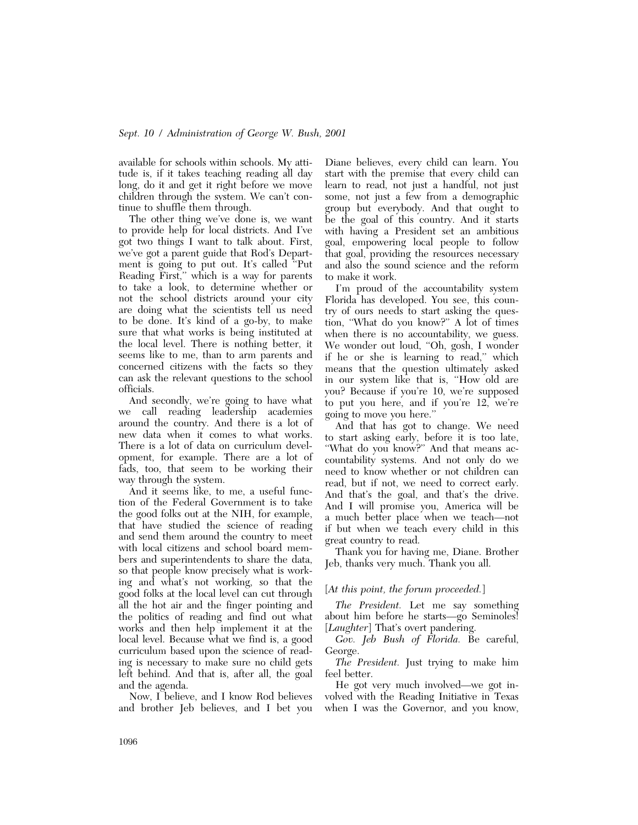available for schools within schools. My attitude is, if it takes teaching reading all day long, do it and get it right before we move children through the system. We can't continue to shuffle them through.

The other thing we've done is, we want to provide help for local districts. And I've got two things I want to talk about. First, we've got a parent guide that Rod's Department is going to put out. It's called ''Put Reading First,'' which is a way for parents to take a look, to determine whether or not the school districts around your city are doing what the scientists tell us need to be done. It's kind of a go-by, to make sure that what works is being instituted at the local level. There is nothing better, it seems like to me, than to arm parents and concerned citizens with the facts so they can ask the relevant questions to the school officials.

And secondly, we're going to have what we call reading leadership academies around the country. And there is a lot of new data when it comes to what works. There is a lot of data on curriculum development, for example. There are a lot of fads, too, that seem to be working their way through the system.

And it seems like, to me, a useful function of the Federal Government is to take the good folks out at the NIH, for example, that have studied the science of reading and send them around the country to meet with local citizens and school board members and superintendents to share the data, so that people know precisely what is working and what's not working, so that the good folks at the local level can cut through all the hot air and the finger pointing and the politics of reading and find out what works and then help implement it at the local level. Because what we find is, a good curriculum based upon the science of reading is necessary to make sure no child gets left behind. And that is, after all, the goal and the agenda.

Now, I believe, and I know Rod believes and brother Jeb believes, and I bet you

Diane believes, every child can learn. You start with the premise that every child can learn to read, not just a handful, not just some, not just a few from a demographic group but everybody. And that ought to be the goal of this country. And it starts with having a President set an ambitious goal, empowering local people to follow that goal, providing the resources necessary and also the sound science and the reform to make it work.

I'm proud of the accountability system Florida has developed. You see, this country of ours needs to start asking the question, "What do you know?" A lot of times when there is no accountability, we guess. We wonder out loud, ''Oh, gosh, I wonder if he or she is learning to read,'' which means that the question ultimately asked in our system like that is, ''How old are you? Because if you're 10, we're supposed to put you here, and if you're 12, we're going to move you here.''

And that has got to change. We need to start asking early, before it is too late, "What do you know?" And that means accountability systems. And not only do we need to know whether or not children can read, but if not, we need to correct early. And that's the goal, and that's the drive. And I will promise you, America will be a much better place when we teach—not if but when we teach every child in this great country to read.

Thank you for having me, Diane. Brother Jeb, thanks very much. Thank you all.

### [*At this point, the forum proceeded.*]

*The President.* Let me say something about him before he starts—go Seminoles! [*Laughter*] That's overt pandering.

*Gov. Jeb Bush of Florida.* Be careful, George.

*The President.* Just trying to make him feel better.

He got very much involved—we got involved with the Reading Initiative in Texas when I was the Governor, and you know,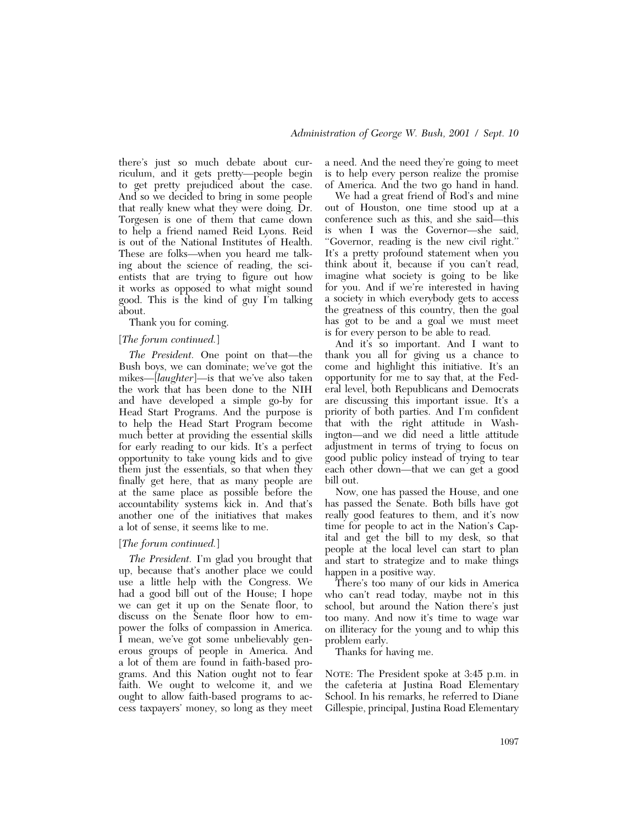there's just so much debate about curriculum, and it gets pretty—people begin to get pretty prejudiced about the case. And so we decided to bring in some people that really knew what they were doing. Dr. Torgesen is one of them that came down to help a friend named Reid Lyons. Reid is out of the National Institutes of Health. These are folks—when you heard me talking about the science of reading, the scientists that are trying to figure out how it works as opposed to what might sound good. This is the kind of guy I'm talking about.

Thank you for coming.

#### [*The forum continued.*]

*The President.* One point on that—the Bush boys, we can dominate; we've got the mikes—[*laughter*]—is that we've also taken the work that has been done to the NIH and have developed a simple go-by for Head Start Programs. And the purpose is to help the Head Start Program become much better at providing the essential skills for early reading to our kids. It's a perfect opportunity to take young kids and to give them just the essentials, so that when they finally get here, that as many people are at the same place as possible before the accountability systems kick in. And that's another one of the initiatives that makes a lot of sense, it seems like to me.

#### [*The forum continued.*]

*The President.* I'm glad you brought that up, because that's another place we could use a little help with the Congress. We had a good bill out of the House; I hope we can get it up on the Senate floor, to discuss on the Senate floor how to empower the folks of compassion in America. I mean, we've got some unbelievably generous groups of people in America. And a lot of them are found in faith-based programs. And this Nation ought not to fear faith. We ought to welcome it, and we ought to allow faith-based programs to access taxpayers' money, so long as they meet a need. And the need they're going to meet is to help every person realize the promise of America. And the two go hand in hand.

We had a great friend of Rod's and mine out of Houston, one time stood up at a conference such as this, and she said—this is when I was the Governor—she said, ''Governor, reading is the new civil right.'' It's a pretty profound statement when you think about it, because if you can't read, imagine what society is going to be like for you. And if we're interested in having a society in which everybody gets to access the greatness of this country, then the goal has got to be and a goal we must meet is for every person to be able to read.

And it's so important. And I want to thank you all for giving us a chance to come and highlight this initiative. It's an opportunity for me to say that, at the Federal level, both Republicans and Democrats are discussing this important issue. It's a priority of both parties. And I'm confident that with the right attitude in Washington—and we did need a little attitude adjustment in terms of trying to focus on good public policy instead of trying to tear each other down—that we can get a good bill out.

Now, one has passed the House, and one has passed the Senate. Both bills have got really good features to them, and it's now time for people to act in the Nation's Capital and get the bill to my desk, so that people at the local level can start to plan and start to strategize and to make things happen in a positive way.

There's too many of our kids in America who can't read today, maybe not in this school, but around the Nation there's just too many. And now it's time to wage war on illiteracy for the young and to whip this problem early.

Thanks for having me.

NOTE: The President spoke at 3:45 p.m. in the cafeteria at Justina Road Elementary School. In his remarks, he referred to Diane Gillespie, principal, Justina Road Elementary